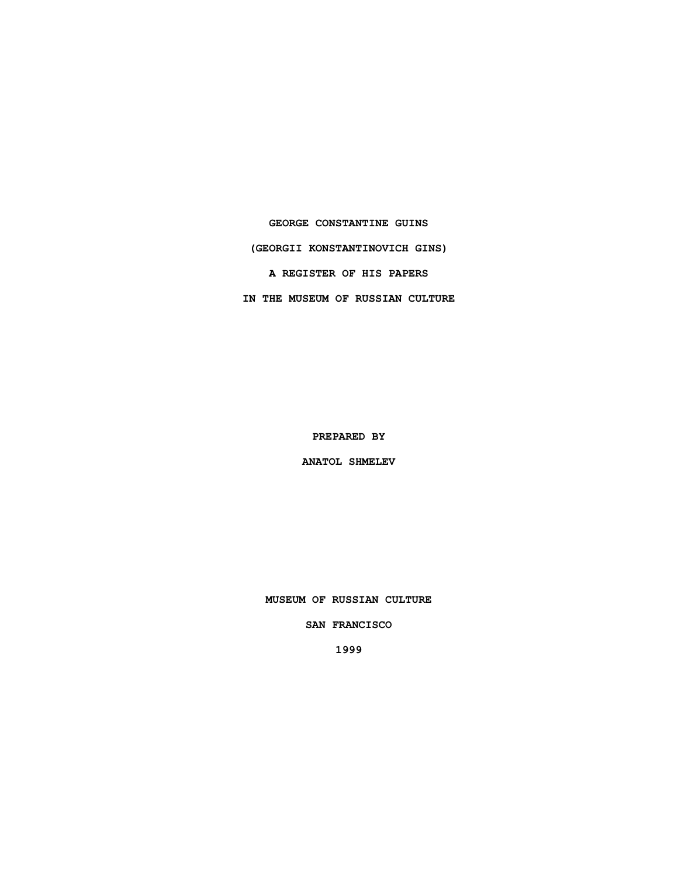**GEORGE CONSTANTINE GUINS (GEORGII KONSTANTINOVICH GINS) A REGISTER OF HIS PAPERS IN THE MUSEUM OF RUSSIAN CULTURE**

**PREPARED BY**

**ANATOL SHMELEV**

**MUSEUM OF RUSSIAN CULTURE**

**SAN FRANCISCO**

**1999**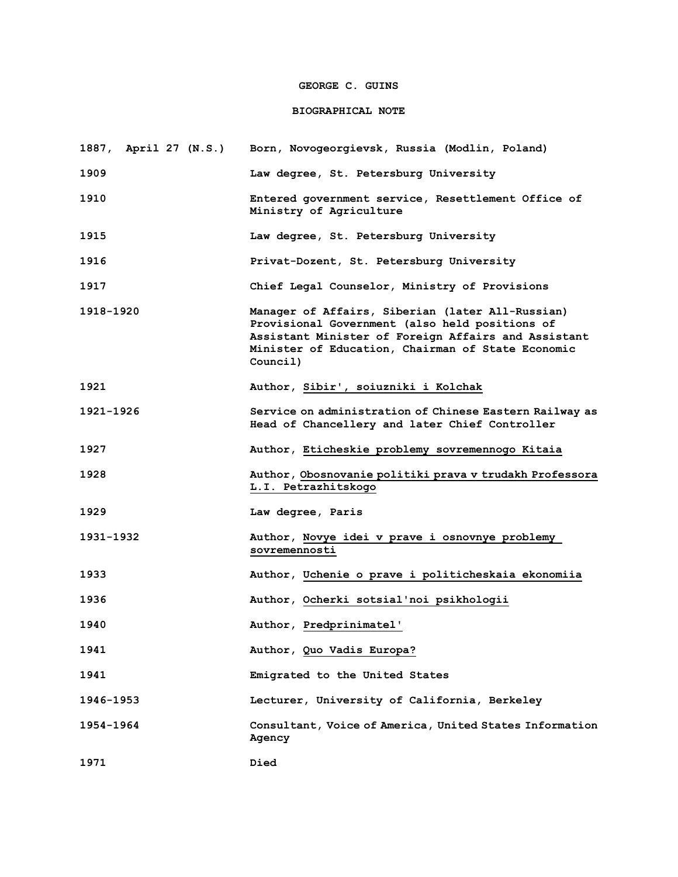# **GEORGE C. GUINS**

## **BIOGRAPHICAL NOTE**

| 1887, April 27 (N.S.) | Born, Novogeorgievsk, Russia (Modlin, Poland)                                                                                                                                                                              |
|-----------------------|----------------------------------------------------------------------------------------------------------------------------------------------------------------------------------------------------------------------------|
| 1909                  | Law degree, St. Petersburg University                                                                                                                                                                                      |
| 1910                  | Entered government service, Resettlement Office of<br>Ministry of Agriculture                                                                                                                                              |
| 1915                  | Law degree, St. Petersburg University                                                                                                                                                                                      |
| 1916                  | Privat-Dozent, St. Petersburg University                                                                                                                                                                                   |
| 1917                  | Chief Legal Counselor, Ministry of Provisions                                                                                                                                                                              |
| 1918-1920             | Manager of Affairs, Siberian (later All-Russian)<br>Provisional Government (also held positions of<br>Assistant Minister of Foreign Affairs and Assistant<br>Minister of Education, Chairman of State Economic<br>Council) |
| 1921                  | Author, Sibir', soiuzniki i Kolchak                                                                                                                                                                                        |
| 1921-1926             | Service on administration of Chinese Eastern Railway as<br>Head of Chancellery and later Chief Controller                                                                                                                  |
| 1927                  | Author, Eticheskie problemy sovremennogo Kitaia                                                                                                                                                                            |
| 1928                  | Author, Obosnovanie politiki prava v trudakh Professora<br>L.I. Petrazhitskogo                                                                                                                                             |
| 1929                  | Law degree, Paris                                                                                                                                                                                                          |
| 1931-1932             | Author, Novye idei v prave i osnovnye problemy<br>sovremennosti                                                                                                                                                            |
| 1933                  | Author, Uchenie o prave i politicheskaia ekonomiia                                                                                                                                                                         |
| 1936                  | Author, Ocherki sotsial'noi psikhologii                                                                                                                                                                                    |
| 1940                  | Author, Predprinimatel'                                                                                                                                                                                                    |
| 1941                  | Author, Quo Vadis Europa?                                                                                                                                                                                                  |
| 1941                  | Emigrated to the United States                                                                                                                                                                                             |
| 1946–1953             | Lecturer, University of California, Berkeley                                                                                                                                                                               |
| 1954-1964             | Consultant, Voice of America, United States Information<br>Agency                                                                                                                                                          |
| 1971                  | Died                                                                                                                                                                                                                       |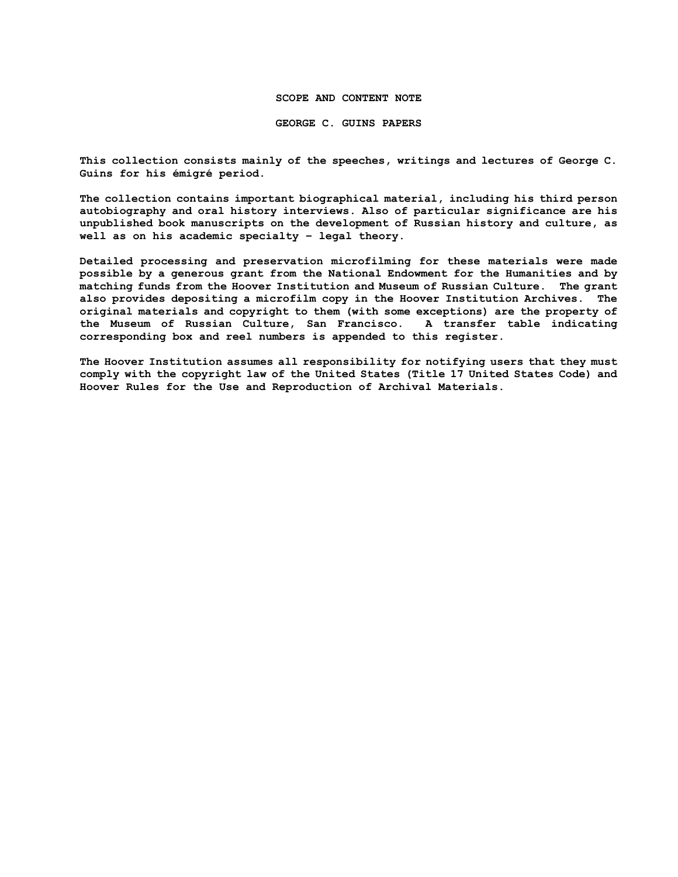### **SCOPE AND CONTENT NOTE**

**GEORGE C. GUINS PAPERS**

**This collection consists mainly of the speeches, writings and lectures of George C. Guins for his émigré period.**

**The collection contains important biographical material, including his third person autobiography and oral history interviews. Also of particular significance are his unpublished book manuscripts on the development of Russian history and culture, as well as on his academic specialty – legal theory.** 

**Detailed processing and preservation microfilming for these materials were made possible by a generous grant from the National Endowment for the Humanities and by matching funds from the Hoover Institution and Museum of Russian Culture. The grant also provides depositing a microfilm copy in the Hoover Institution Archives. The original materials and copyright to them (with some exceptions) are the property of the Museum of Russian Culture, San Francisco. A transfer table indicating corresponding box and reel numbers is appended to this register.**

**The Hoover Institution assumes all responsibility for notifying users that they must comply with the copyright law of the United States (Title 17 United States Code) and Hoover Rules for the Use and Reproduction of Archival Materials.**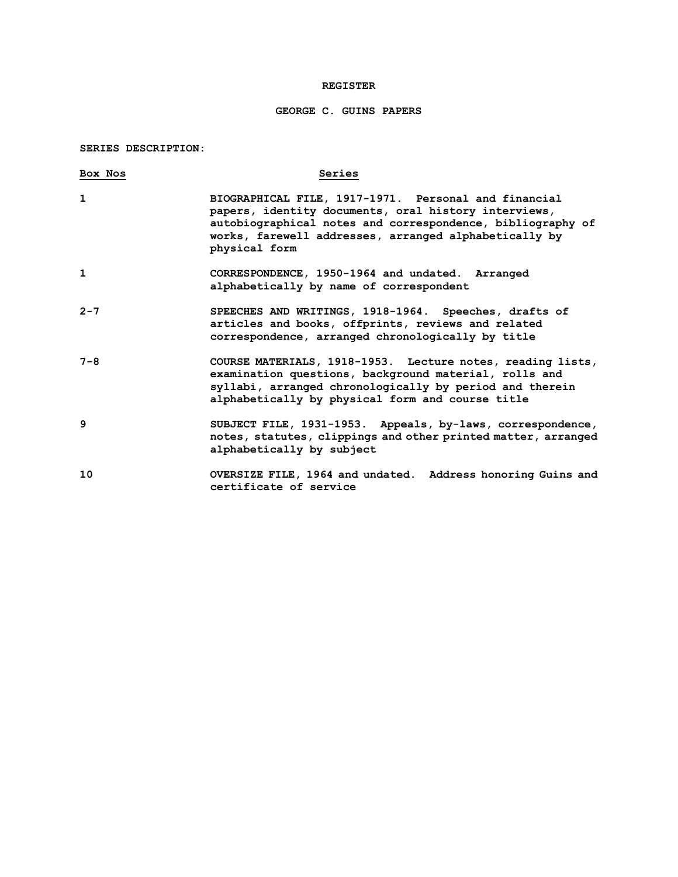### **REGISTER**

# **GEORGE C. GUINS PAPERS**

### **SERIES DESCRIPTION:**

| Box Nos | Series                                                                                                                                                                                                                                               |
|---------|------------------------------------------------------------------------------------------------------------------------------------------------------------------------------------------------------------------------------------------------------|
| 1       | BIOGRAPHICAL FILE, 1917-1971. Personal and financial<br>papers, identity documents, oral history interviews,<br>autobiographical notes and correspondence, bibliography of<br>works, farewell addresses, arranged alphabetically by<br>physical form |
| 1       | CORRESPONDENCE, 1950-1964 and undated. Arranged<br>alphabetically by name of correspondent                                                                                                                                                           |
| $2 - 7$ | SPEECHES AND WRITINGS, 1918-1964. Speeches, drafts of<br>articles and books, offprints, reviews and related<br>correspondence, arranged chronologically by title                                                                                     |
| $7 - 8$ | COURSE MATERIALS, 1918-1953. Lecture notes, reading lists,<br>examination questions, background material, rolls and<br>syllabi, arranged chronologically by period and therein<br>alphabetically by physical form and course title                   |
| 9       | SUBJECT FILE, 1931-1953. Appeals, by-laws, correspondence,<br>notes, statutes, clippings and other printed matter, arranged<br>alphabetically by subject                                                                                             |
| 10      | OVERSIZE FILE, 1964 and undated. Address honoring Guins and<br>certificate of service                                                                                                                                                                |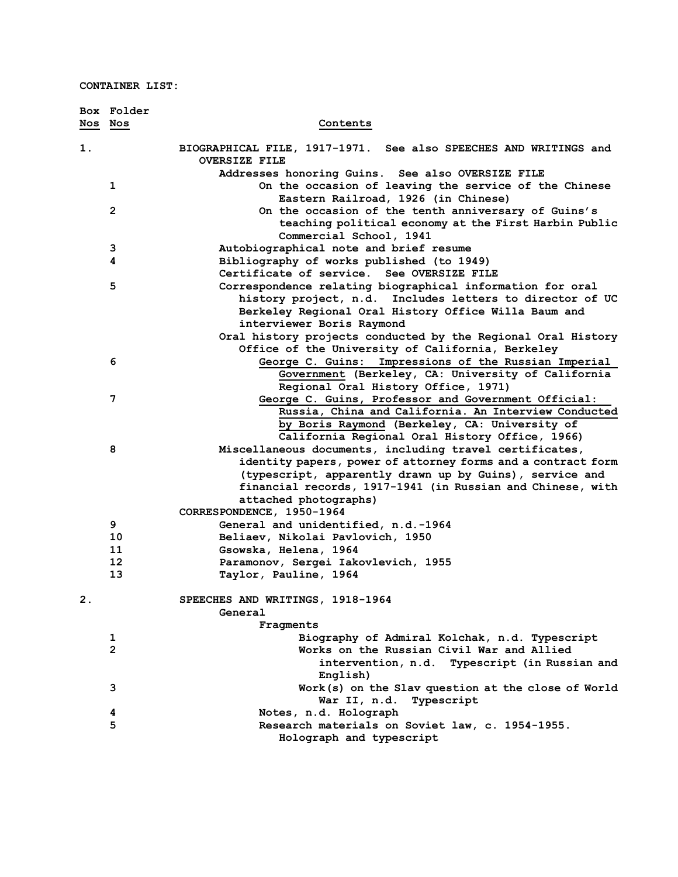**CONTAINER LIST:**

|         | Box Folder     |                                                                                            |
|---------|----------------|--------------------------------------------------------------------------------------------|
| Nos Nos |                | Contents                                                                                   |
|         |                |                                                                                            |
| 1.      |                | BIOGRAPHICAL FILE, 1917-1971. See also SPEECHES AND WRITINGS and<br><b>OVERSIZE FILE</b>   |
|         |                | Addresses honoring Guins. See also OVERSIZE FILE                                           |
|         | 1              | On the occasion of leaving the service of the Chinese                                      |
|         |                |                                                                                            |
|         | $\mathbf{2}$   | Eastern Railroad, 1926 (in Chinese)<br>On the occasion of the tenth anniversary of Guins's |
|         |                | teaching political economy at the First Harbin Public                                      |
|         |                | Commercial School, 1941                                                                    |
|         | 3              | Autobiographical note and brief resume                                                     |
|         | 4              | Bibliography of works published (to 1949)                                                  |
|         |                | Certificate of service. See OVERSIZE FILE                                                  |
|         | 5              | Correspondence relating biographical information for oral                                  |
|         |                | history project, n.d. Includes letters to director of UC                                   |
|         |                | Berkeley Regional Oral History Office Willa Baum and                                       |
|         |                | interviewer Boris Raymond                                                                  |
|         |                | Oral history projects conducted by the Regional Oral History                               |
|         |                | Office of the University of California, Berkeley                                           |
|         | 6              | Impressions of the Russian Imperial<br>George C. Guins:                                    |
|         |                | Government (Berkeley, CA: University of California                                         |
|         |                | Regional Oral History Office, 1971)                                                        |
|         | 7              | George C. Guins, Professor and Government Official:                                        |
|         |                | Russia, China and California. An Interview Conducted                                       |
|         |                | by Boris Raymond (Berkeley, CA: University of                                              |
|         |                | California Regional Oral History Office, 1966)                                             |
|         | 8              | Miscellaneous documents, including travel certificates,                                    |
|         |                | identity papers, power of attorney forms and a contract form                               |
|         |                | (typescript, apparently drawn up by Guins), service and                                    |
|         |                | financial records, 1917-1941 (in Russian and Chinese, with                                 |
|         |                | attached photographs)                                                                      |
|         |                | CORRESPONDENCE, 1950-1964                                                                  |
|         | 9              | General and unidentified, n.d.-1964                                                        |
|         | 10             | Beliaev, Nikolai Pavlovich, 1950                                                           |
|         | 11             | Gsowska, Helena, 1964                                                                      |
|         | 12             | Paramonov, Sergei Iakovlevich, 1955                                                        |
|         | 13             | Taylor, Pauline, 1964                                                                      |
| 2.      |                | SPEECHES AND WRITINGS, 1918-1964                                                           |
|         |                | General                                                                                    |
|         |                | Fragments                                                                                  |
|         | 1              | Biography of Admiral Kolchak, n.d. Typescript                                              |
|         | $\overline{2}$ | Works on the Russian Civil War and Allied                                                  |
|         |                | intervention, n.d. Typescript (in Russian and                                              |
|         |                | English)                                                                                   |
|         | 3              | Work(s) on the Slav question at the close of World                                         |
|         |                | Typescript<br>War II, n.d.                                                                 |
|         | 4              | Notes, n.d. Holograph                                                                      |
|         | 5              | Research materials on Soviet law, c. 1954-1955.                                            |
|         |                | Holograph and typescript                                                                   |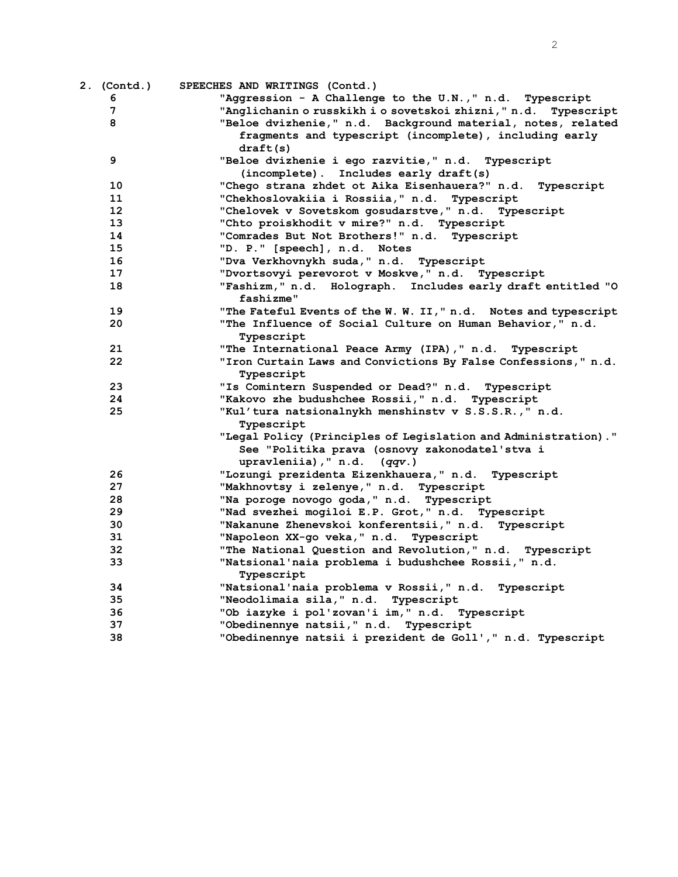|    | 2. (Contd.) SPEECHES AND WRITINGS (Contd.)                                   |
|----|------------------------------------------------------------------------------|
| 6  | "Aggression - A Challenge to the U.N.," n.d. Typescript                      |
| 7  | "Anglichanin o russkikh i o sovetskoi zhizni, " n.d. Typescript              |
| 8  | "Beloe dvizhenie," n.d. Background material, notes, related                  |
|    | fragments and typescript (incomplete), including early                       |
|    | draff(s)                                                                     |
| 9  | "Beloe dvizhenie i ego razvitie," n.d. Typescript                            |
|    | (incomplete). Includes early draft(s)                                        |
| 10 | "Chego strana zhdet ot Aika Eisenhauera?" n.d. Typescript                    |
| 11 | "Chekhoslovakiia i Rossiia," n.d.<br>Typescript                              |
| 12 | "Chelovek v Sovetskom gosudarstve," n.d.<br>Typescript                       |
| 13 | "Chto proiskhodit v mire?" n.d. Typescript                                   |
| 14 | "Comrades But Not Brothers!" n.d. Typescript                                 |
| 15 | "D. P." [speech], n.d. Notes                                                 |
| 16 | "Dva Verkhovnykh suda," n.d. Typescript                                      |
| 17 | "Dvortsovyi perevorot v Moskve," n.d. Typescript                             |
| 18 | "Fashizm," n.d. Holograph. Includes early draft entitled "O<br>fashizme"     |
| 19 | "The Fateful Events of the W. W. II," n.d. Notes and typescript              |
| 20 | "The Influence of Social Culture on Human Behavior," n.d.                    |
|    | Typescript                                                                   |
| 21 | "The International Peace Army (IPA), "n.d.<br>Typescript                     |
| 22 | "Iron Curtain Laws and Convictions By False Confessions," n.d.<br>Typescript |
| 23 | "Is Comintern Suspended or Dead?" n.d. Typescript                            |
| 24 | "Kakovo zhe budushchee Rossii," n.d. Typescript                              |
| 25 | "Kul'tura natsionalnykh menshinstv v S.S.S.R.," n.d.                         |
|    | Typescript                                                                   |
|    | "Legal Policy (Principles of Legislation and Administration)."               |
|    | See "Politika prava (osnovy zakonodatel'stva i                               |
|    | upravleniia), " $n.d.$ ( $qqv.$ )                                            |
| 26 | "Lozungi prezidenta Eizenkhauera," n.d. Typescript                           |
| 27 | "Makhnovtsy i zelenye," n.d. Typescript                                      |
| 28 | "Na poroge novogo goda, " n.d. Typescript                                    |
| 29 | "Nad svezhei mogiloi E.P. Grot," n.d. Typescript                             |
| 30 | "Nakanune Zhenevskoi konferentsii," n.d.<br>Typescript                       |
| 31 | "Napoleon XX-qo veka," n.d. Typescript                                       |
| 32 | "The National Question and Revolution," n.d. Typescript                      |
| 33 | "Natsional'naia problema i budushchee Rossii," n.d.<br>Typescript            |
| 34 | "Natsional'naia problema v Rossii," n.d.<br>Typescript                       |
| 35 | "Neodolimaia sila," n.d.<br>Typescript                                       |
| 36 | "Ob iazyke i pol'zovan'i im," n.d. Typescript                                |
| 37 | "Obedinennye natsii, " n.d. Typescript                                       |
| 38 | "Obedinennye natsii i prezident de Goll'," n.d. Typescript                   |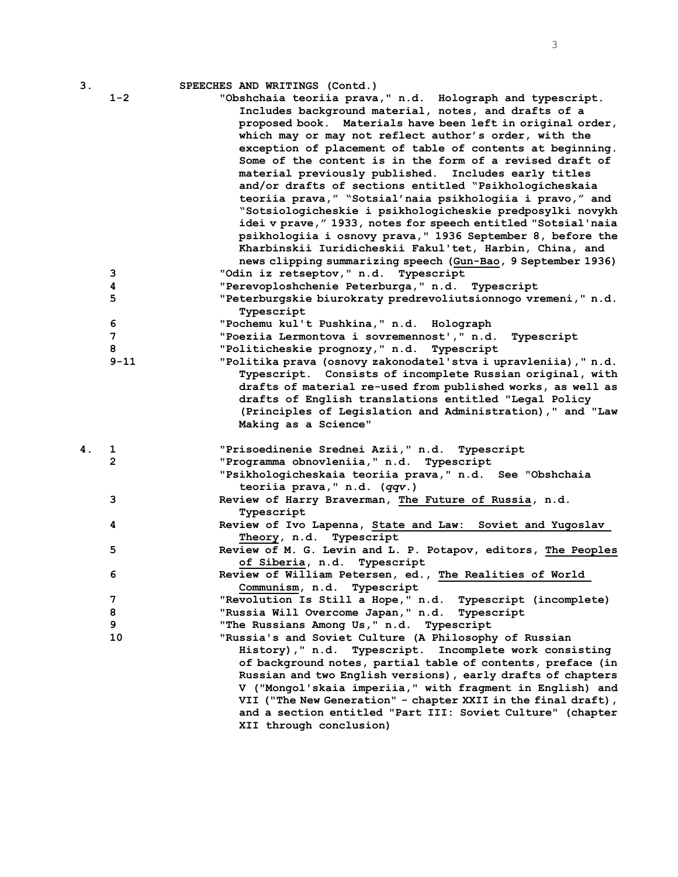| 3. |                   | SPEECHES AND WRITINGS (Contd.)                                                                                                                                                                                                                                                                                                                                                                                                                                                                                                                                                                                                                                                                                                                                                                                                                                          |
|----|-------------------|-------------------------------------------------------------------------------------------------------------------------------------------------------------------------------------------------------------------------------------------------------------------------------------------------------------------------------------------------------------------------------------------------------------------------------------------------------------------------------------------------------------------------------------------------------------------------------------------------------------------------------------------------------------------------------------------------------------------------------------------------------------------------------------------------------------------------------------------------------------------------|
|    | $1 - 2$           | "Obshchaia teoriia prava," n.d. Holograph and typescript.<br>Includes background material, notes, and drafts of a<br>proposed book. Materials have been left in original order,<br>which may or may not reflect author's order, with the<br>exception of placement of table of contents at beginning.<br>Some of the content is in the form of a revised draft of<br>material previously published. Includes early titles<br>and/or drafts of sections entitled "Psikhologicheskaia<br>teoriia prava," "Sotsial'naia psikhologiia i pravo," and<br>"Sotsiologicheskie i psikhologicheskie predposylki novykh<br>idei v prave, " 1933, notes for speech entitled "Sotsial'naia<br>psikhologiia i osnovy prava, " 1936 September 8, before the<br>Kharbinskii Iuridicheskii Fakul'tet, Harbin, China, and<br>news clipping summarizing speech (Gun-Bao, 9 September 1936) |
|    | 3                 | "Odin iz retseptov, " n.d. Typescript                                                                                                                                                                                                                                                                                                                                                                                                                                                                                                                                                                                                                                                                                                                                                                                                                                   |
|    | 4                 | "Perevoploshchenie Peterburga, " n.d. Typescript                                                                                                                                                                                                                                                                                                                                                                                                                                                                                                                                                                                                                                                                                                                                                                                                                        |
|    | 5                 | "Peterburgskie biurokraty predrevoliutsionnogo vremeni, " n.d.<br>Typescript                                                                                                                                                                                                                                                                                                                                                                                                                                                                                                                                                                                                                                                                                                                                                                                            |
|    | 6                 | "Pochemu kul't Pushkina," n.d. Holograph                                                                                                                                                                                                                                                                                                                                                                                                                                                                                                                                                                                                                                                                                                                                                                                                                                |
|    | 7                 | "Poeziia Lermontova i sovremennost'," n.d.<br>Typescript                                                                                                                                                                                                                                                                                                                                                                                                                                                                                                                                                                                                                                                                                                                                                                                                                |
|    | 8                 | "Politicheskie prognozy," n.d. Typescript                                                                                                                                                                                                                                                                                                                                                                                                                                                                                                                                                                                                                                                                                                                                                                                                                               |
|    | $9 - 11$          | "Politika prava (osnovy zakonodatel'stva i upravleniia), " n.d.<br>Typescript. Consists of incomplete Russian original, with<br>drafts of material re-used from published works, as well as<br>drafts of English translations entitled "Legal Policy<br>(Principles of Legislation and Administration)," and "Law<br>Making as a Science"                                                                                                                                                                                                                                                                                                                                                                                                                                                                                                                               |
| 4. |                   |                                                                                                                                                                                                                                                                                                                                                                                                                                                                                                                                                                                                                                                                                                                                                                                                                                                                         |
|    | 1<br>$\mathbf{2}$ | "Prisoedinenie Srednei Azii," n.d. Typescript<br>"Programma obnovleniia, " n.d. Typescript<br>"Psikhologicheskaia teoriia prava," n.d. See "Obshchaia<br>teoriia prava," n.d. (qqv.)                                                                                                                                                                                                                                                                                                                                                                                                                                                                                                                                                                                                                                                                                    |
|    | 3                 | Review of Harry Braverman, The Future of Russia, n.d.<br>Typescript                                                                                                                                                                                                                                                                                                                                                                                                                                                                                                                                                                                                                                                                                                                                                                                                     |
|    | 4                 | Review of Ivo Lapenna, State and Law: Soviet and Yugoslav<br>Theory, n.d. Typescript                                                                                                                                                                                                                                                                                                                                                                                                                                                                                                                                                                                                                                                                                                                                                                                    |
|    | 5                 | Review of M. G. Levin and L. P. Potapov, editors, The Peoples<br>of Siberia, n.d. Typescript                                                                                                                                                                                                                                                                                                                                                                                                                                                                                                                                                                                                                                                                                                                                                                            |
|    | 6                 | Review of William Petersen, ed., The Realities of World<br>Communism, n.d. Typescript                                                                                                                                                                                                                                                                                                                                                                                                                                                                                                                                                                                                                                                                                                                                                                                   |
|    | 7                 | "Revolution Is Still a Hope," n.d.<br>Typescript (incomplete)                                                                                                                                                                                                                                                                                                                                                                                                                                                                                                                                                                                                                                                                                                                                                                                                           |
|    | 8                 | "Russia Will Overcome Japan," n.d.<br>Typescript                                                                                                                                                                                                                                                                                                                                                                                                                                                                                                                                                                                                                                                                                                                                                                                                                        |
|    | 9                 | "The Russians Among Us," n.d. Typescript                                                                                                                                                                                                                                                                                                                                                                                                                                                                                                                                                                                                                                                                                                                                                                                                                                |
|    | 10                | "Russia's and Soviet Culture (A Philosophy of Russian<br>History), " n.d. Typescript. Incomplete work consisting<br>of background notes, partial table of contents, preface (in<br>Russian and two English versions), early drafts of chapters<br>V ("Mongol'skaia imperiia," with fragment in English) and<br>VII ("The New Generation" - chapter XXII in the final draft),<br>and a section entitled "Part III: Soviet Culture" (chapter                                                                                                                                                                                                                                                                                                                                                                                                                              |
|    |                   | XII through conclusion)                                                                                                                                                                                                                                                                                                                                                                                                                                                                                                                                                                                                                                                                                                                                                                                                                                                 |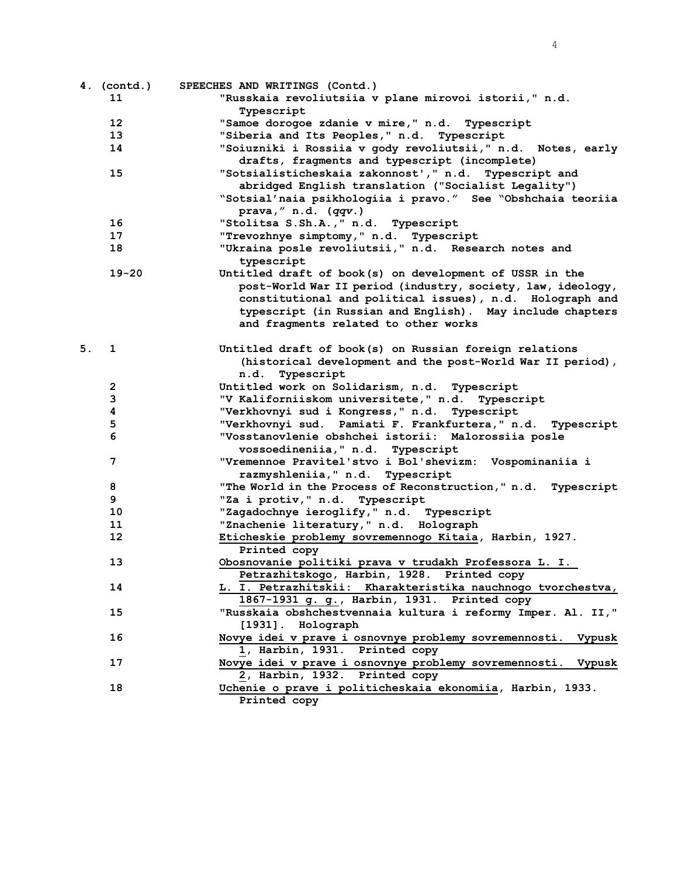|    | 4. (contd.)     | SPEECHES AND WRITINGS (Contd.)                                                                    |
|----|-----------------|---------------------------------------------------------------------------------------------------|
|    | 11              | "Russkaia revoliutsiia v plane mirovoi istorii," n.d.                                             |
|    |                 | Typescript                                                                                        |
|    | 12 <sup>2</sup> | "Samoe dorogoe zdanie v mire," n.d. Typescript                                                    |
|    | 13              | "Siberia and Its Peoples," n.d. Typescript                                                        |
|    | 14              | "Soiuzniki i Rossiia v gody revoliutsii," n.d. Notes, early                                       |
|    |                 | drafts, fragments and typescript (incomplete)                                                     |
|    | 15              | "Sotsialisticheskaia zakonnost'," n.d. Typescript and                                             |
|    |                 | abridged English translation ("Socialist Legality")                                               |
|    |                 | "Sotsial'naia psikhologiia i pravo." See "Obshchaia teoriia                                       |
|    |                 | prava, $''$ n.d. (qqv.)                                                                           |
|    | 16              | "Stolitsa S.Sh.A., " n.d. Typescript                                                              |
|    | 17              | "Trevozhnye simptomy," n.d. Typescript                                                            |
|    | 18              | "Ukraina posle revoliutsii," n.d. Research notes and                                              |
|    |                 | typescript                                                                                        |
|    | $19 - 20$       | Untitled draft of book(s) on development of USSR in the                                           |
|    |                 | post-World War II period (industry, society, law, ideology,                                       |
|    |                 | constitutional and political issues), n.d. Holograph and                                          |
|    |                 | typescript (in Russian and English). May include chapters                                         |
|    |                 | and fragments related to other works                                                              |
|    |                 |                                                                                                   |
| 5. | 1               | Untitled draft of book(s) on Russian foreign relations                                            |
|    |                 | (historical development and the post-World War II period),                                        |
|    |                 | n.d. Typescript                                                                                   |
|    | $\mathbf{2}$    | Untitled work on Solidarism, n.d. Typescript                                                      |
|    | 3               | "V Kaliforniiskom universitete," n.d. Typescript                                                  |
|    | 4               | "Verkhovnyi sud i Kongress, " n.d. Typescript                                                     |
|    | 5               | "Verkhovnyi sud. Pamiati F. Frankfurtera," n.d. Typescript                                        |
|    | 6               | "Vosstanovlenie obshchei istorii: Malorossiia posle                                               |
|    |                 | vossoedineniia, " n.d. Typescript                                                                 |
|    | 7               | "Vremennoe Pravitel'stvo i Bol'shevizm: Vospominaniia i                                           |
|    | 8               | razmyshleniia, " n.d. Typescript<br>"The World in the Process of Reconstruction," n.d. Typescript |
|    | 9               | "Za i protiv, " n.d. Typescript                                                                   |
|    | 10              | "Zagadochnye ieroglify," n.d. Typescript                                                          |
|    | 11              | "Znachenie literatury," n.d. Holograph                                                            |
|    | 12              | Eticheskie problemy sovremennogo Kitaia, Harbin, 1927.                                            |
|    |                 | Printed copy                                                                                      |
|    | 13              | Obosnovanie politiki prava v trudakh Professora L. I.                                             |
|    |                 | Petrazhitskogo, Harbin, 1928. Printed copy                                                        |
|    | 14              | L. I. Petrazhitskii: Kharakteristika nauchnogo tvorchestva,                                       |
|    |                 | 1867-1931 g. g., Harbin, 1931. Printed copy                                                       |
|    | 15              | "Russkaia obshchestvennaia kultura i reformy Imper. Al. II,"                                      |
|    |                 | [1931]. Holograph                                                                                 |
|    | 16              | Novye idei v prave i osnovnye problemy sovremennosti.<br>Vypusk                                   |
|    |                 | 1, Harbin, 1931. Printed copy                                                                     |
|    | 17              | Novye idei v prave i osnovnye problemy sovremennosti.<br>Vypusk                                   |
|    |                 | 2, Harbin, 1932. Printed copy                                                                     |
|    | 18              | Uchenie o prave i politicheskaia ekonomiia, Harbin, 1933.                                         |
|    |                 | Printed copy                                                                                      |
|    |                 |                                                                                                   |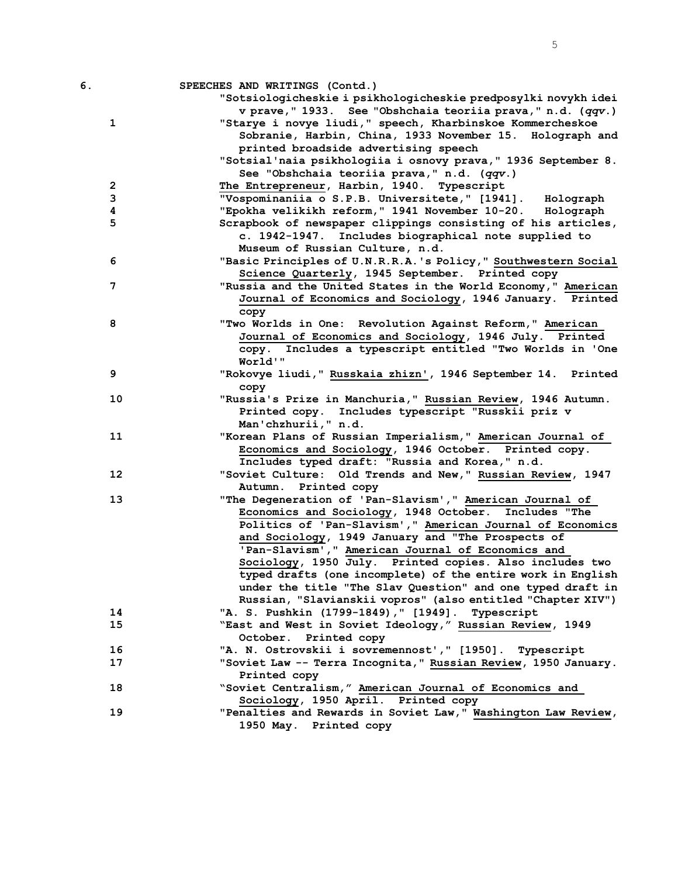| б.                      | SPEECHES AND WRITINGS (Contd.)                                                                                     |
|-------------------------|--------------------------------------------------------------------------------------------------------------------|
|                         | "Sotsiologicheskie i psikhologicheskie predposylki novykh idei                                                     |
|                         | v prave, "1933. See "Obshchaia teoriia prava, " n.d. (qqv.)                                                        |
| $\mathbf 1$             | "Starye i novye liudi," speech, Kharbinskoe Kommercheskoe                                                          |
|                         | Sobranie, Harbin, China, 1933 November 15. Holograph and                                                           |
|                         | printed broadside advertising speech                                                                               |
|                         | "Sotsial'naia psikhologiia i osnovy prava, " 1936 September 8.                                                     |
|                         | See "Obshchaia teoriia prava," n.d. (qqv.)                                                                         |
| $\overline{\mathbf{c}}$ | The Entrepreneur, Harbin, 1940. Typescript                                                                         |
| 3                       | "Vospominaniia o S.P.B. Universitete," [1941]. Holograph                                                           |
| 4                       | "Epokha velikikh reform," 1941 November 10-20. Holograph                                                           |
| 5                       | Scrapbook of newspaper clippings consisting of his articles,                                                       |
|                         | c. 1942-1947. Includes biographical note supplied to                                                               |
|                         | Museum of Russian Culture, n.d.                                                                                    |
| 6                       | "Basic Principles of U.N.R.R.A.'s Policy," Southwestern Social                                                     |
|                         | Science Quarterly, 1945 September. Printed copy                                                                    |
| 7                       | "Russia and the United States in the World Economy," American                                                      |
|                         | Journal of Economics and Sociology, 1946 January. Printed                                                          |
|                         | copy                                                                                                               |
| 8                       | "Two Worlds in One: Revolution Against Reform," American<br>Journal of Economics and Sociology, 1946 July. Printed |
|                         |                                                                                                                    |
|                         | copy. Includes a typescript entitled "Two Worlds in 'One<br>World'"                                                |
| 9                       |                                                                                                                    |
|                         | "Rokovye liudi, " Russkaia zhizn', 1946 September 14. Printed<br>copy                                              |
| 10                      | "Russia's Prize in Manchuria," Russian Review, 1946 Autumn.                                                        |
|                         | Printed copy. Includes typescript "Russkii priz v                                                                  |
|                         | Man'chzhurii, " n.d.                                                                                               |
| 11                      | "Korean Plans of Russian Imperialism," American Journal of                                                         |
|                         | Economics and Sociology, 1946 October. Printed copy.                                                               |
|                         | Includes typed draft: "Russia and Korea," n.d.                                                                     |
| 12                      | "Soviet Culture: Old Trends and New," Russian Review, 1947                                                         |
|                         | Autumn.<br>Printed copy                                                                                            |
| 13                      | "The Degeneration of 'Pan-Slavism'," American Journal of                                                           |
|                         | Economics and Sociology, 1948 October. Includes "The                                                               |
|                         | Politics of 'Pan-Slavism'," American Journal of Economics                                                          |
|                         | and Sociology, 1949 January and "The Prospects of                                                                  |
|                         | 'Pan-Slavism'," American Journal of Economics and                                                                  |
|                         | Sociology, 1950 July. Printed copies. Also includes two                                                            |
|                         | typed drafts (one incomplete) of the entire work in English                                                        |
|                         | under the title "The Slav Question" and one typed draft in                                                         |
|                         | Russian, "Slavianskii vopros" (also entitled "Chapter XIV")                                                        |
| 14                      | "A. S. Pushkin (1799-1849), " [1949]. Typescript                                                                   |
| 15                      | "East and West in Soviet Ideology," Russian Review, 1949                                                           |
|                         | October. Printed copy                                                                                              |
| 16                      | "A. N. Ostrovskii i sovremennost'," [1950]. Typescript                                                             |
| 17                      | "Soviet Law -- Terra Incognita," Russian Review, 1950 January.                                                     |
|                         | Printed copy                                                                                                       |
| 18                      | "Soviet Centralism," American Journal of Economics and                                                             |
|                         | Sociology, 1950 April. Printed copy                                                                                |
| 19                      | "Penalties and Rewards in Soviet Law," Washington Law Review,                                                      |
|                         | 1950 May. Printed copy                                                                                             |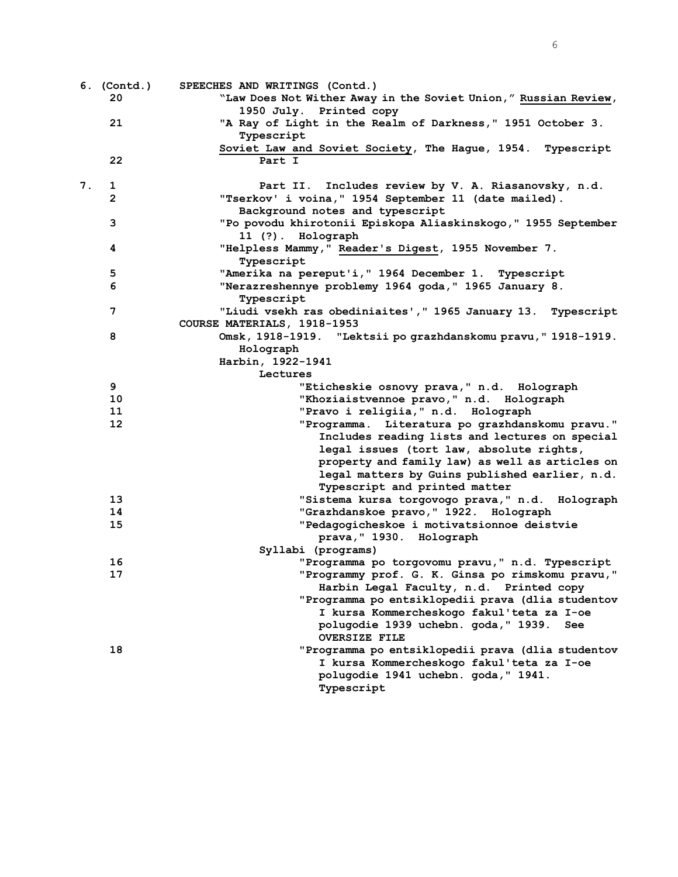6

|    | 6. (Contd.)<br>20 | SPEECHES AND WRITINGS (Contd.)<br>"Law Does Not Wither Away in the Soviet Union," Russian Review, |
|----|-------------------|---------------------------------------------------------------------------------------------------|
|    |                   | 1950 July. Printed copy                                                                           |
|    | 21                | "A Ray of Light in the Realm of Darkness," 1951 October 3.<br>Typescript                          |
|    |                   | Soviet Law and Soviet Society, The Hague, 1954. Typescript                                        |
|    | 22                | Part I                                                                                            |
| 7. | 1                 | Part II. Includes review by V. A. Riasanovsky, n.d.                                               |
|    | $\mathbf{2}$      | "Tserkov' i voina, " 1954 September 11 (date mailed).                                             |
|    |                   | Background notes and typescript                                                                   |
|    | 3                 | "Po povodu khirotonii Episkopa Aliaskinskogo," 1955 September<br>11 (?). Holograph                |
|    | 4                 | "Helpless Mammy," Reader's Digest, 1955 November 7.<br>Typescript                                 |
|    | 5                 | "Amerika na pereput'i, " 1964 December 1. Typescript                                              |
|    | 6                 | "Nerazreshennye problemy 1964 goda," 1965 January 8.<br>Typescript                                |
|    | 7                 | "Liudi vsekh ras obediniaites', " 1965 January 13. Typescript                                     |
|    |                   | COURSE MATERIALS, 1918-1953                                                                       |
|    | 8                 | Omsk, 1918-1919. "Lektsii po grazhdanskomu pravu, "1918-1919.                                     |
|    |                   | Holograph                                                                                         |
|    |                   | Harbin, 1922-1941                                                                                 |
|    |                   | Lectures                                                                                          |
|    | 9                 | "Eticheskie osnovy prava," n.d. Holograph                                                         |
|    | 10                | "Khoziaistvennoe pravo," n.d. Holograph                                                           |
|    | 11                | "Pravo i religiia, " n.d. Holograph                                                               |
|    | 12 <sup>2</sup>   | "Programma. Literatura po grazhdanskomu pravu."                                                   |
|    |                   | Includes reading lists and lectures on special                                                    |
|    |                   | legal issues (tort law, absolute rights,                                                          |
|    |                   | property and family law) as well as articles on                                                   |
|    |                   | legal matters by Guins published earlier, n.d.                                                    |
|    |                   | Typescript and printed matter                                                                     |
|    | 13                | "Sistema kursa torgovogo prava, " n.d. Holograph                                                  |
|    | 14                | "Grazhdanskoe pravo, " 1922. Holograph                                                            |
|    | 15                | "Pedagogicheskoe i motivatsionnoe deistvie<br>prava, "1930. Holograph                             |
|    |                   | Syllabi (programs)                                                                                |
|    | 16                | "Programma po torgovomu pravu, " n.d. Typescript                                                  |
|    | 17                | "Programmy prof. G. K. Ginsa po rimskomu pravu,"                                                  |
|    |                   | Harbin Legal Faculty, n.d. Printed copy                                                           |
|    |                   | "Programma po entsiklopedii prava (dlia studentov                                                 |
|    |                   | I kursa Kommercheskogo fakul'teta za I-oe                                                         |
|    |                   | polugodie 1939 uchebn. goda, "1939.<br>See                                                        |
|    |                   | <b>OVERSIZE FILE</b>                                                                              |
|    | 18                | "Programma po entsiklopedii prava (dlia studentov                                                 |
|    |                   | I kursa Kommercheskogo fakul'teta za I-oe                                                         |
|    |                   | polugodie 1941 uchebn. goda, "1941.                                                               |
|    |                   | Typescript                                                                                        |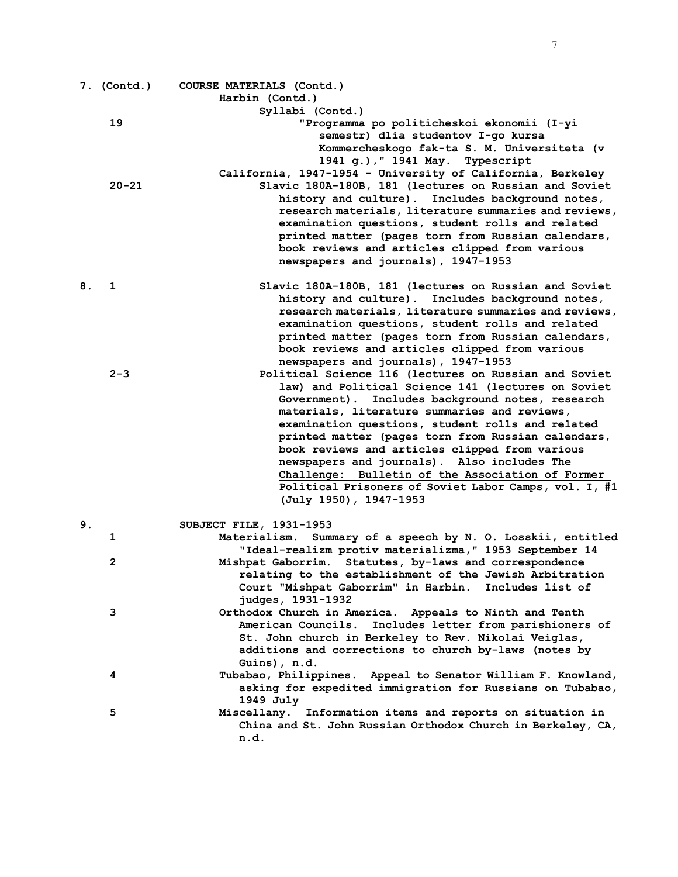|    | 7. (Contd.)    | COURSE MATERIALS (Contd.)                                                       |
|----|----------------|---------------------------------------------------------------------------------|
|    |                | Harbin (Contd.)                                                                 |
|    |                | Syllabi (Contd.)                                                                |
|    | 19             | "Programma po politicheskoi ekonomii (I-yi                                      |
|    |                | semestr) dlia studentov I-go kursa                                              |
|    |                | Kommercheskogo fak-ta S. M. Universiteta (v                                     |
|    |                | 1941 g.), " 1941 May. Typescript                                                |
|    |                | California, 1947-1954 - University of California, Berkeley                      |
|    | $20 - 21$      | Slavic 180A-180B, 181 (lectures on Russian and Soviet                           |
|    |                | history and culture). Includes background notes,                                |
|    |                | research materials, literature summaries and reviews,                           |
|    |                | examination questions, student rolls and related                                |
|    |                | printed matter (pages torn from Russian calendars,                              |
|    |                | book reviews and articles clipped from various                                  |
|    |                | newspapers and journals), 1947-1953                                             |
| 8. | 1              | Slavic 180A-180B, 181 (lectures on Russian and Soviet                           |
|    |                | history and culture). Includes background notes,                                |
|    |                | research materials, literature summaries and reviews,                           |
|    |                | examination questions, student rolls and related                                |
|    |                | printed matter (pages torn from Russian calendars,                              |
|    |                | book reviews and articles clipped from various                                  |
|    |                | newspapers and journals), 1947-1953                                             |
|    | $2 - 3$        | Political Science 116 (lectures on Russian and Soviet                           |
|    |                | law) and Political Science 141 (lectures on Soviet                              |
|    |                | Government). Includes background notes, research                                |
|    |                | materials, literature summaries and reviews,                                    |
|    |                | examination questions, student rolls and related                                |
|    |                | printed matter (pages torn from Russian calendars,                              |
|    |                | book reviews and articles clipped from various                                  |
|    |                | newspapers and journals). Also includes The                                     |
|    |                | Challenge: Bulletin of the Association of Former                                |
|    |                | Political Prisoners of Soviet Labor Camps, vol. I, #1<br>(July 1950), 1947-1953 |
| 9. |                | SUBJECT FILE, 1931-1953                                                         |
|    | 1              | Materialism.<br>Summary of a speech by N. O. Losskii, entitled                  |
|    |                | "Ideal-realizm protiv materializma," 1953 September 14                          |
|    | $\overline{2}$ | Mishpat Gaborrim. Statutes, by-laws and correspondence                          |
|    |                | relating to the establishment of the Jewish Arbitration                         |
|    |                | Court "Mishpat Gaborrim" in Harbin.<br>Includes list of                         |
|    |                | judges, 1931-1932                                                               |
|    | 3              | Orthodox Church in America. Appeals to Ninth and Tenth                          |
|    |                | American Councils.<br>Includes letter from parishioners of                      |
|    |                | St. John church in Berkeley to Rev. Nikolai Veiglas,                            |
|    |                | additions and corrections to church by-laws (notes by                           |
|    |                | Guins), n.d.                                                                    |
|    | 4              | Tubabao, Philippines.<br>Appeal to Senator William F. Knowland,                 |
|    |                | asking for expedited immigration for Russians on Tubabao,                       |
|    |                | 1949 July                                                                       |
|    | 5              | Miscellany. Information items and reports on situation in                       |
|    |                | China and St. John Russian Orthodox Church in Berkeley, CA,                     |
|    |                | n.d.                                                                            |